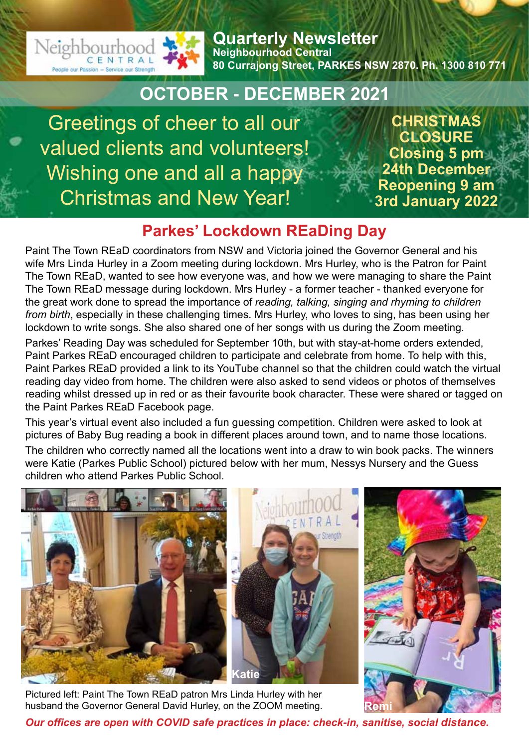

**Quarterly Newsletter Neighbourhood Central 80 Currajong Street, PARKES NSW 2870. Ph. 1300 810 771**

## **OCTOBER - DECEMBER 2021**

Greetings of cheer to all our valued clients and volunteers! Wishing one and all a happy Christmas and New Year!

**CHRISTMAS CLOSURE Closing 5 pm 24th December Reopening 9 am 3rd January 2022**

### **Parkes' Lockdown REaDing Day**

Paint The Town REaD coordinators from NSW and Victoria joined the Governor General and his wife Mrs Linda Hurley in a Zoom meeting during lockdown. Mrs Hurley, who is the Patron for Paint The Town REaD, wanted to see how everyone was, and how we were managing to share the Paint The Town REaD message during lockdown. Mrs Hurley - a former teacher - thanked everyone for the great work done to spread the importance of *reading, talking, singing and rhyming to children from birth*, especially in these challenging times. Mrs Hurley, who loves to sing, has been using her lockdown to write songs. She also shared one of her songs with us during the Zoom meeting.

Parkes' Reading Day was scheduled for September 10th, but with stay-at-home orders extended, Paint Parkes REaD encouraged children to participate and celebrate from home. To help with this, Paint Parkes REaD provided a link to its YouTube channel so that the children could watch the virtual reading day video from home. The children were also asked to send videos or photos of themselves reading whilst dressed up in red or as their favourite book character. These were shared or tagged on the Paint Parkes REaD Facebook page.

This year's virtual event also included a fun guessing competition. Children were asked to look at pictures of Baby Bug reading a book in different places around town, and to name those locations. The children who correctly named all the locations went into a draw to win book packs. The winners were Katie (Parkes Public School) pictured below with her mum, Nessys Nursery and the Guess children who attend Parkes Public School.



Pictured left: Paint The Town REaD patron Mrs Linda Hurley with her husband the Governor General David Hurley, on the ZOOM meeting.

*Our offices are open with COVID safe practices in place: check-in, sanitise, social distance.* **Remi**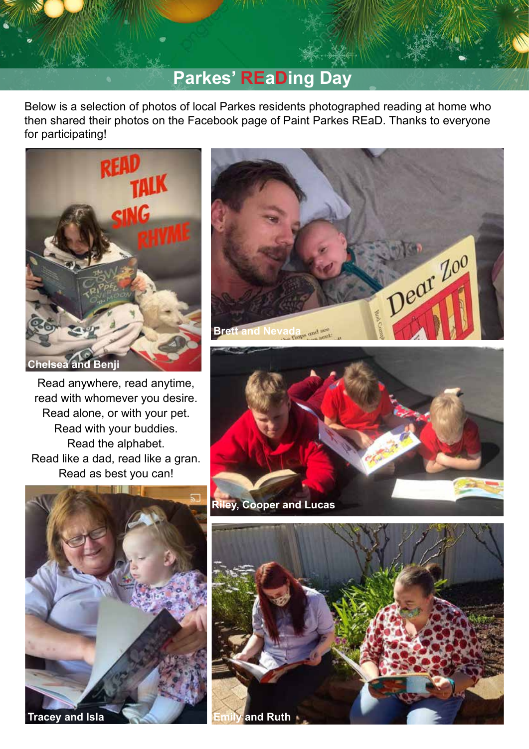# **Parkes' REaDing Day**

Below is a selection of photos of local Parkes residents photographed reading at home who then shared their photos on the Facebook page of Paint Parkes REaD. Thanks to everyone for participating!



Read anywhere, read anytime, read with whomever you desire. Read alone, or with your pet. Read with your buddies. Read the alphabet. Read like a dad, read like a gran. Read as best you can!





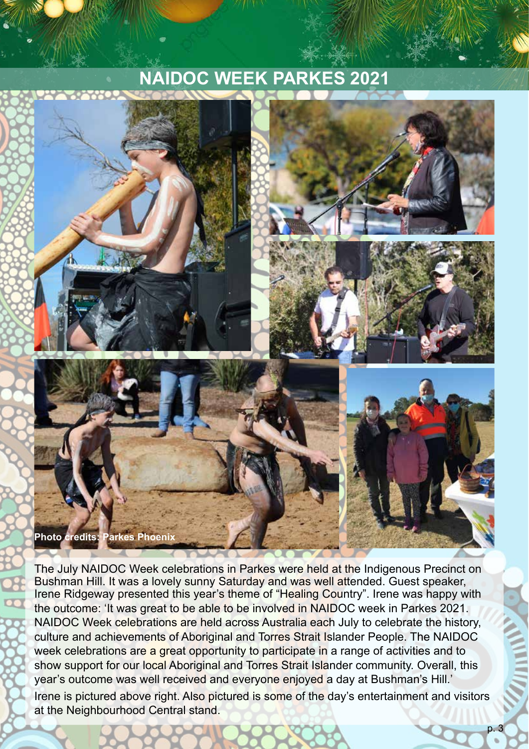# **NAIDOC WEEK PARKES 2021**



The July NAIDOC Week celebrations in Parkes were held at the Indigenous Precinct on Bushman Hill. It was a lovely sunny Saturday and was well attended. Guest speaker, Irene Ridgeway presented this year's theme of "Healing Country". Irene was happy with the outcome: 'It was great to be able to be involved in NAIDOC week in Parkes 2021. NAIDOC Week celebrations are held across Australia each July to celebrate the history, culture and achievements of Aboriginal and Torres Strait Islander People. The NAIDOC week celebrations are a great opportunity to participate in a range of activities and to show support for our local Aboriginal and Torres Strait Islander community. Overall, this year's outcome was well received and everyone enjoyed a day at Bushman's Hill.' Irene is pictured above right. Also pictured is some of the day's entertainment and visitors at the Neighbourhood Central stand.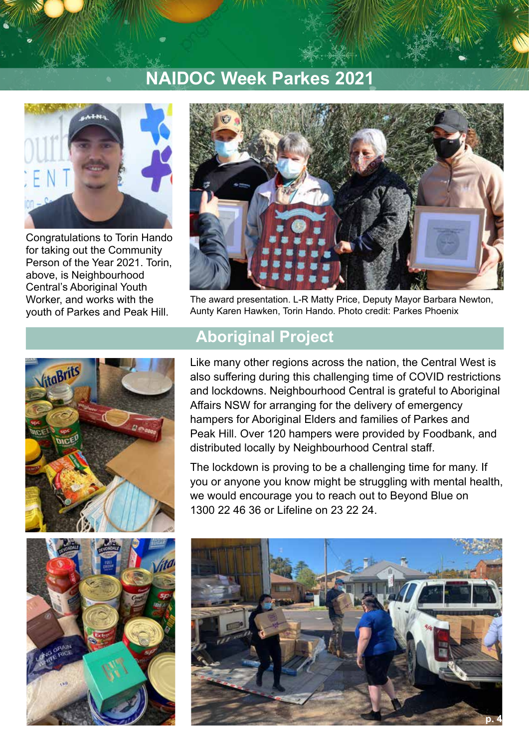# **NAIDOC Week Parkes 2021**



Congratulations to Torin Hando for taking out the Community Person of the Year 2021. Torin, above, is Neighbourhood Central's Aboriginal Youth Worker, and works with the youth of Parkes and Peak Hill.



The award presentation. L-R Matty Price, Deputy Mayor Barbara Newton, Aunty Karen Hawken, Torin Hando. Photo credit: Parkes Phoenix



### **Aboriginal Project**

Like many other regions across the nation, the Central West is also suffering during this challenging time of COVID restrictions and lockdowns. Neighbourhood Central is grateful to Aboriginal Affairs NSW for arranging for the delivery of emergency hampers for Aboriginal Elders and families of Parkes and Peak Hill. Over 120 hampers were provided by Foodbank, and distributed locally by Neighbourhood Central staff.

The lockdown is proving to be a challenging time for many. If you or anyone you know might be struggling with mental health, we would encourage you to reach out to Beyond Blue on 1300 22 46 36 or Lifeline on 23 22 24.



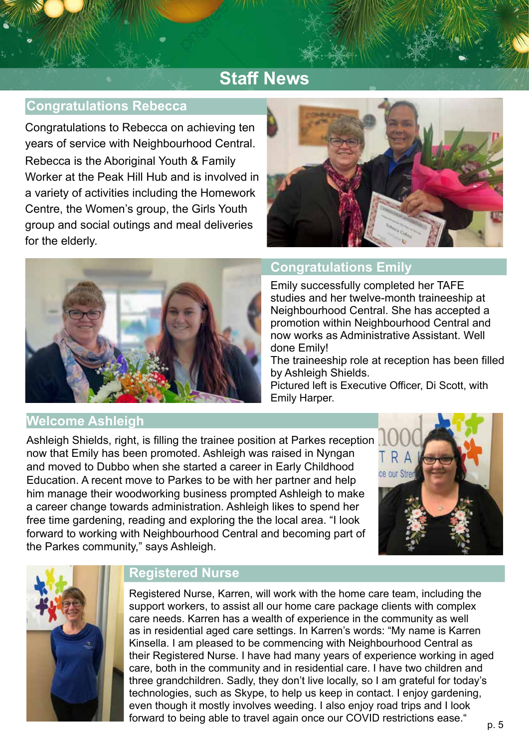# **Staff News**

### **Congratulations Rebecca**

Congratulations to Rebecca on achieving ten years of service with Neighbourhood Central. Rebecca is the Aboriginal Youth & Family Worker at the Peak Hill Hub and is involved in a variety of activities including the Homework Centre, the Women's group, the Girls Youth group and social outings and meal deliveries for the elderly.





### **Congratulations Emily**

Emily successfully completed her TAFE studies and her twelve-month traineeship at Neighbourhood Central. She has accepted a promotion within Neighbourhood Central and now works as Administrative Assistant. Well done Emily!

The traineeship role at reception has been filled by Ashleigh Shields.

Pictured left is Executive Officer, Di Scott, with Emily Harper.

Ashleigh Shields, right, is filling the trainee position at Parkes reception now that Emily has been promoted. Ashleigh was raised in Nyngan and moved to Dubbo when she started a career in Early Childhood Education. A recent move to Parkes to be with her partner and help him manage their woodworking business prompted Ashleigh to make a career change towards administration. Ashleigh likes to spend her free time gardening, reading and exploring the the local area. "I look forward to working with Neighbourhood Central and becoming part of the Parkes community," says Ashleigh.





**Welcome Ashleigh** 

### **Registered Nurse**

Registered Nurse, Karren, will work with the home care team, including the support workers, to assist all our home care package clients with complex care needs. Karren has a wealth of experience in the community as well as in residential aged care settings. In Karren's words: "My name is Karren Kinsella. I am pleased to be commencing with Neighbourhood Central as their Registered Nurse. I have had many years of experience working in aged care, both in the community and in residential care. I have two children and three grandchildren. Sadly, they don't live locally, so I am grateful for today's technologies, such as Skype, to help us keep in contact. I enjoy gardening, even though it mostly involves weeding. I also enjoy road trips and I look forward to being able to travel again once our COVID restrictions ease."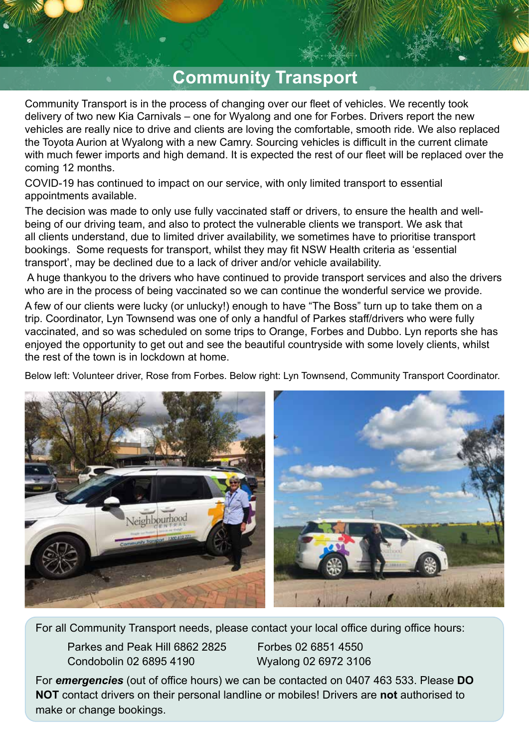## **Community Transport**

Community Transport is in the process of changing over our fleet of vehicles. We recently took delivery of two new Kia Carnivals – one for Wyalong and one for Forbes. Drivers report the new vehicles are really nice to drive and clients are loving the comfortable, smooth ride. We also replaced the Toyota Aurion at Wyalong with a new Camry. Sourcing vehicles is difficult in the current climate with much fewer imports and high demand. It is expected the rest of our fleet will be replaced over the coming 12 months.

COVID-19 has continued to impact on our service, with only limited transport to essential appointments available.

The decision was made to only use fully vaccinated staff or drivers, to ensure the health and wellbeing of our driving team, and also to protect the vulnerable clients we transport. We ask that all clients understand, due to limited driver availability, we sometimes have to prioritise transport bookings. Some requests for transport, whilst they may fit NSW Health criteria as 'essential transport', may be declined due to a lack of driver and/or vehicle availability.

 A huge thankyou to the drivers who have continued to provide transport services and also the drivers who are in the process of being vaccinated so we can continue the wonderful service we provide.

A few of our clients were lucky (or unlucky!) enough to have "The Boss" turn up to take them on a trip. Coordinator, Lyn Townsend was one of only a handful of Parkes staff/drivers who were fully vaccinated, and so was scheduled on some trips to Orange, Forbes and Dubbo. Lyn reports she has enjoyed the opportunity to get out and see the beautiful countryside with some lovely clients, whilst the rest of the town is in lockdown at home.

Below left: Volunteer driver, Rose from Forbes. Below right: Lyn Townsend, Community Transport Coordinator.



For all Community Transport needs, please contact your local office during office hours:

Parkes and Peak Hill 6862 2825 Forbes 02 6851 4550 Condobolin 02 6895 4190 Wyalong 02 6972 3106

For *emergencies* (out of office hours) we can be contacted on 0407 463 533. Please **DO NOT** contact drivers on their personal landline or mobiles! Drivers are **not** authorised to make or change bookings.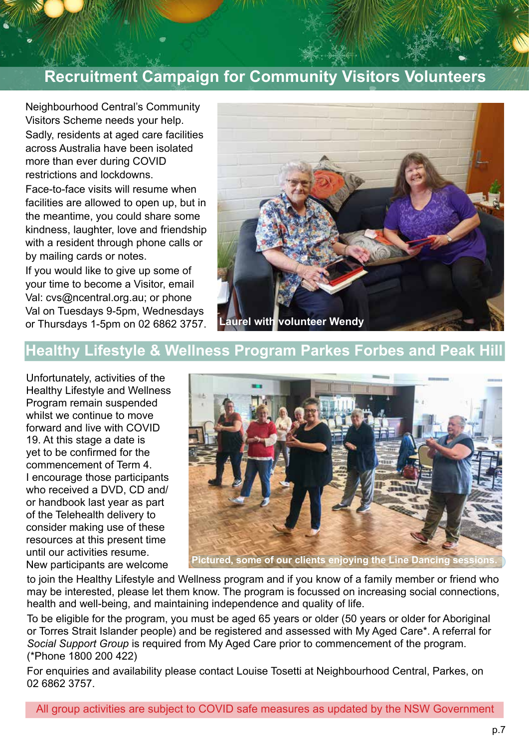### **Recruitment Campaign for Community Visitors Volunteers**

Neighbourhood Central's Community Visitors Scheme needs your help. Sadly, residents at aged care facilities across Australia have been isolated more than ever during COVID restrictions and lockdowns.

Face-to-face visits will resume when facilities are allowed to open up, but in the meantime, you could share some kindness, laughter, love and friendship with a resident through phone calls or by mailing cards or notes.

If you would like to give up some of your time to become a Visitor, email Val: cvs@ncentral.org.au; or phone Val on Tuesdays 9-5pm, Wednesdays or Thursdays 1-5pm on 02 6862 3757.



### **Healthy Lifestyle & Wellness Program Parkes Forbes and Peak Hill**

Unfortunately, activities of the Healthy Lifestyle and Wellness Program remain suspended whilst we continue to move forward and live with COVID 19. At this stage a date is yet to be confirmed for the commencement of Term 4. I encourage those participants who received a DVD, CD and/ or handbook last year as part of the Telehealth delivery to consider making use of these resources at this present time until our activities resume. New participants are welcome



**Pictured, some of our clients enjoying the Line Dancing sessions.**

to join the Healthy Lifestyle and Wellness program and if you know of a family member or friend who may be interested, please let them know. The program is focussed on increasing social connections, health and well-being, and maintaining independence and quality of life.

To be eligible for the program, you must be aged 65 years or older (50 years or older for Aboriginal or Torres Strait Islander people) and be registered and assessed with My Aged Care\*. A referral for *Social Support Group* is required from My Aged Care prior to commencement of the program. (\*Phone 1800 200 422)

For enquiries and availability please contact Louise Tosetti at Neighbourhood Central, Parkes, on 02 6862 3757.